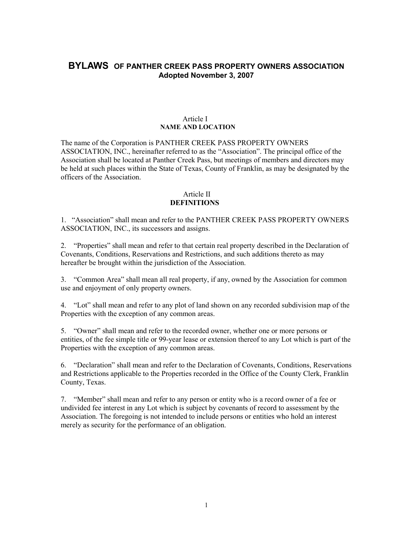# **BYLAWS OF PANTHER CREEK PASS PROPERTY OWNERS ASSOCIATION Adopted November 3, 2007**

#### Article I **NAME AND LOCATION**

The name of the Corporation is PANTHER CREEK PASS PROPERTY OWNERS ASSOCIATION, INC., hereinafter referred to as the "Association". The principal office of the Association shall be located at Panther Creek Pass, but meetings of members and directors may be held at such places within the State of Texas, County of Franklin, as may be designated by the officers of the Association.

## Article II **DEFINITIONS**

1. "Association" shall mean and refer to the PANTHER CREEK PASS PROPERTY OWNERS ASSOCIATION, INC., its successors and assigns.

2. "Properties" shall mean and refer to that certain real property described in the Declaration of Covenants, Conditions, Reservations and Restrictions, and such additions thereto as may hereafter be brought within the jurisdiction of the Association.

3. "Common Area" shall mean all real property, if any, owned by the Association for common use and enjoyment of only property owners.

4. "Lot" shall mean and refer to any plot of land shown on any recorded subdivision map of the Properties with the exception of any common areas.

5. "Owner" shall mean and refer to the recorded owner, whether one or more persons or entities, of the fee simple title or 99-year lease or extension thereof to any Lot which is part of the Properties with the exception of any common areas.

6. "Declaration" shall mean and refer to the Declaration of Covenants, Conditions, Reservations and Restrictions applicable to the Properties recorded in the Office of the County Clerk, Franklin County, Texas.

7. "Member" shall mean and refer to any person or entity who is a record owner of a fee or undivided fee interest in any Lot which is subject by covenants of record to assessment by the Association. The foregoing is not intended to include persons or entities who hold an interest merely as security for the performance of an obligation.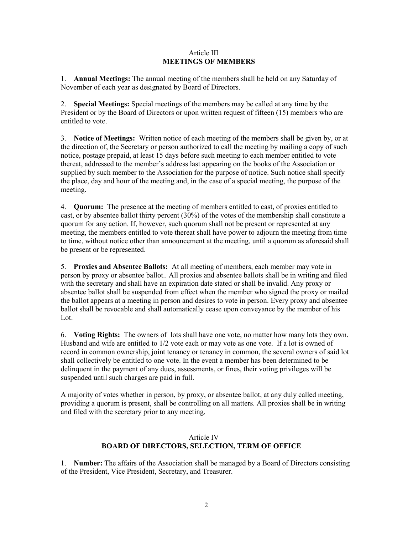### Article III **MEETINGS OF MEMBERS**

1. **Annual Meetings:** The annual meeting of the members shall be held on any Saturday of November of each year as designated by Board of Directors.

2. **Special Meetings:** Special meetings of the members may be called at any time by the President or by the Board of Directors or upon written request of fifteen (15) members who are entitled to vote.

3. **Notice of Meetings:** Written notice of each meeting of the members shall be given by, or at the direction of, the Secretary or person authorized to call the meeting by mailing a copy of such notice, postage prepaid, at least 15 days before such meeting to each member entitled to vote thereat, addressed to the member's address last appearing on the books of the Association or supplied by such member to the Association for the purpose of notice. Such notice shall specify the place, day and hour of the meeting and, in the case of a special meeting, the purpose of the meeting.

4. **Quorum:** The presence at the meeting of members entitled to cast, of proxies entitled to cast, or by absentee ballot thirty percent (30%) of the votes of the membership shall constitute a quorum for any action. If, however, such quorum shall not be present or represented at any meeting, the members entitled to vote thereat shall have power to adjourn the meeting from time to time, without notice other than announcement at the meeting, until a quorum as aforesaid shall be present or be represented.

5. **Proxies and Absentee Ballots:** At all meeting of members, each member may vote in person by proxy or absentee ballot.. All proxies and absentee ballots shall be in writing and filed with the secretary and shall have an expiration date stated or shall be invalid. Any proxy or absentee ballot shall be suspended from effect when the member who signed the proxy or mailed the ballot appears at a meeting in person and desires to vote in person. Every proxy and absentee ballot shall be revocable and shall automatically cease upon conveyance by the member of his Lot.

6. **Voting Rights:** The owners of lots shall have one vote, no matter how many lots they own. Husband and wife are entitled to 1/2 vote each or may vote as one vote. If a lot is owned of record in common ownership, joint tenancy or tenancy in common, the several owners of said lot shall collectively be entitled to one vote. In the event a member has been determined to be delinquent in the payment of any dues, assessments, or fines, their voting privileges will be suspended until such charges are paid in full.

A majority of votes whether in person, by proxy, or absentee ballot, at any duly called meeting, providing a quorum is present, shall be controlling on all matters. All proxies shall be in writing and filed with the secretary prior to any meeting.

# Article IV **BOARD OF DIRECTORS, SELECTION, TERM OF OFFICE**

1. **Number:** The affairs of the Association shall be managed by a Board of Directors consisting of the President, Vice President, Secretary, and Treasurer.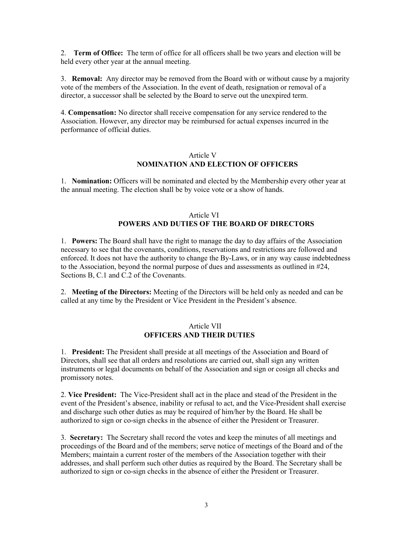2. **Term of Office:** The term of office for all officers shall be two years and election will be held every other year at the annual meeting.

3. **Removal:** Any director may be removed from the Board with or without cause by a majority vote of the members of the Association. In the event of death, resignation or removal of a director, a successor shall be selected by the Board to serve out the unexpired term.

4. **Compensation:** No director shall receive compensation for any service rendered to the Association. However, any director may be reimbursed for actual expenses incurred in the performance of official duties.

## Article V **NOMINATION AND ELECTION OF OFFICERS**

1. **Nomination:** Officers will be nominated and elected by the Membership every other year at the annual meeting. The election shall be by voice vote or a show of hands.

# Article VI **POWERS AND DUTIES OF THE BOARD OF DIRECTORS**

1. **Powers:** The Board shall have the right to manage the day to day affairs of the Association necessary to see that the covenants, conditions, reservations and restrictions are followed and enforced. It does not have the authority to change the By-Laws, or in any way cause indebtedness to the Association, beyond the normal purpose of dues and assessments as outlined in #24, Sections B, C.1 and C.2 of the Covenants.

2. **Meeting of the Directors:** Meeting of the Directors will be held only as needed and can be called at any time by the President or Vice President in the President's absence.

### Article VII **OFFICERS AND THEIR DUTIES**

1. **President:** The President shall preside at all meetings of the Association and Board of Directors, shall see that all orders and resolutions are carried out, shall sign any written instruments or legal documents on behalf of the Association and sign or cosign all checks and promissory notes.

2. **Vice President:** The Vice-President shall act in the place and stead of the President in the event of the President's absence, inability or refusal to act, and the Vice-President shall exercise and discharge such other duties as may be required of him/her by the Board. He shall be authorized to sign or co-sign checks in the absence of either the President or Treasurer.

3. **Secretary:** The Secretary shall record the votes and keep the minutes of all meetings and proceedings of the Board and of the members; serve notice of meetings of the Board and of the Members; maintain a current roster of the members of the Association together with their addresses, and shall perform such other duties as required by the Board. The Secretary shall be authorized to sign or co-sign checks in the absence of either the President or Treasurer.